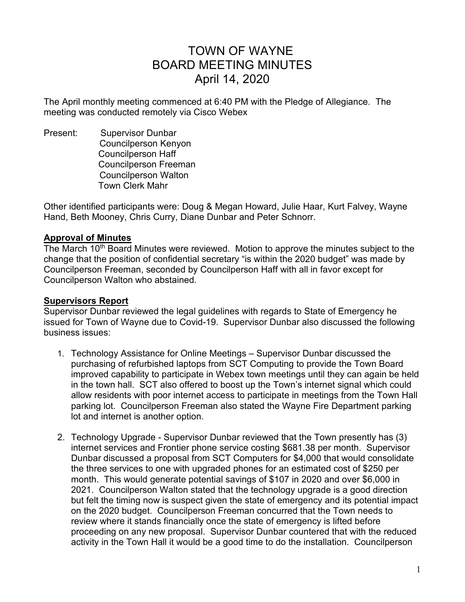# TOWN OF WAYNE BOARD MEETING MINUTES April 14, 2020

The April monthly meeting commenced at 6:40 PM with the Pledge of Allegiance. The meeting was conducted remotely via Cisco Webex

Present: Supervisor Dunbar Councilperson Kenyon Councilperson Haff Councilperson Freeman Councilperson Walton Town Clerk Mahr

Other identified participants were: Doug & Megan Howard, Julie Haar, Kurt Falvey, Wayne Hand, Beth Mooney, Chris Curry, Diane Dunbar and Peter Schnorr.

#### **Approval of Minutes**

The March 10<sup>th</sup> Board Minutes were reviewed. Motion to approve the minutes subject to the change that the position of confidential secretary "is within the 2020 budget" was made by Councilperson Freeman, seconded by Councilperson Haff with all in favor except for Councilperson Walton who abstained.

#### **Supervisors Report**

Supervisor Dunbar reviewed the legal guidelines with regards to State of Emergency he issued for Town of Wayne due to Covid-19. Supervisor Dunbar also discussed the following business issues:

- 1. Technology Assistance for Online Meetings Supervisor Dunbar discussed the purchasing of refurbished laptops from SCT Computing to provide the Town Board improved capability to participate in Webex town meetings until they can again be held in the town hall. SCT also offered to boost up the Town's internet signal which could allow residents with poor internet access to participate in meetings from the Town Hall parking lot. Councilperson Freeman also stated the Wayne Fire Department parking lot and internet is another option.
- 2. Technology Upgrade Supervisor Dunbar reviewed that the Town presently has (3) internet services and Frontier phone service costing \$681.38 per month. Supervisor Dunbar discussed a proposal from SCT Computers for \$4,000 that would consolidate the three services to one with upgraded phones for an estimated cost of \$250 per month. This would generate potential savings of \$107 in 2020 and over \$6,000 in 2021. Councilperson Walton stated that the technology upgrade is a good direction but felt the timing now is suspect given the state of emergency and its potential impact on the 2020 budget. Councilperson Freeman concurred that the Town needs to review where it stands financially once the state of emergency is lifted before proceeding on any new proposal. Supervisor Dunbar countered that with the reduced activity in the Town Hall it would be a good time to do the installation. Councilperson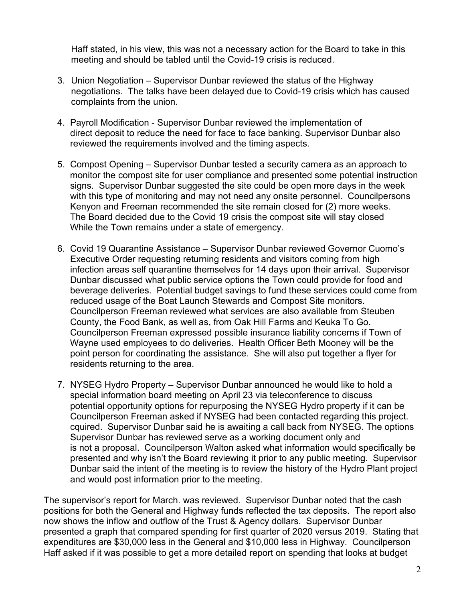Haff stated, in his view, this was not a necessary action for the Board to take in this meeting and should be tabled until the Covid-19 crisis is reduced.

- 3. Union Negotiation Supervisor Dunbar reviewed the status of the Highway negotiations. The talks have been delayed due to Covid-19 crisis which has caused complaints from the union.
- 4. Payroll Modification Supervisor Dunbar reviewed the implementation of direct deposit to reduce the need for face to face banking. Supervisor Dunbar also reviewed the requirements involved and the timing aspects.
- 5. Compost Opening Supervisor Dunbar tested a security camera as an approach to monitor the compost site for user compliance and presented some potential instruction signs. Supervisor Dunbar suggested the site could be open more days in the week with this type of monitoring and may not need any onsite personnel. Councilpersons Kenyon and Freeman recommended the site remain closed for (2) more weeks. The Board decided due to the Covid 19 crisis the compost site will stay closed While the Town remains under a state of emergency.
- 6. Covid 19 Quarantine Assistance Supervisor Dunbar reviewed Governor Cuomo's Executive Order requesting returning residents and visitors coming from high infection areas self quarantine themselves for 14 days upon their arrival. Supervisor Dunbar discussed what public service options the Town could provide for food and beverage deliveries. Potential budget savings to fund these services could come from reduced usage of the Boat Launch Stewards and Compost Site monitors. Councilperson Freeman reviewed what services are also available from Steuben County, the Food Bank, as well as, from Oak Hill Farms and Keuka To Go. Councilperson Freeman expressed possible insurance liability concerns if Town of Wayne used employees to do deliveries. Health Officer Beth Mooney will be the point person for coordinating the assistance. She will also put together a flyer for residents returning to the area.
- 7. NYSEG Hydro Property Supervisor Dunbar announced he would like to hold a special information board meeting on April 23 via teleconference to discuss potential opportunity options for repurposing the NYSEG Hydro property if it can be Councilperson Freeman asked if NYSEG had been contacted regarding this project. cquired. Supervisor Dunbar said he is awaiting a call back from NYSEG. The options Supervisor Dunbar has reviewed serve as a working document only and is not a proposal. Councilperson Walton asked what information would specifically be presented and why isn't the Board reviewing it prior to any public meeting. Supervisor Dunbar said the intent of the meeting is to review the history of the Hydro Plant project and would post information prior to the meeting.

The supervisor's report for March. was reviewed. Supervisor Dunbar noted that the cash positions for both the General and Highway funds reflected the tax deposits. The report also now shows the inflow and outflow of the Trust & Agency dollars. Supervisor Dunbar presented a graph that compared spending for first quarter of 2020 versus 2019. Stating that expenditures are \$30,000 less in the General and \$10,000 less in Highway. Councilperson Haff asked if it was possible to get a more detailed report on spending that looks at budget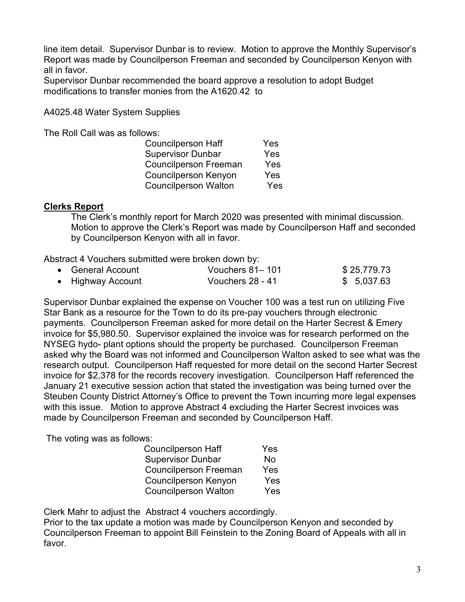line item detail. Supervisor Dunbar is to review. Motion to approve the Monthly Supervisor's Report was made by Councilperson Freeman and seconded by Councilperson Kenyon with all in favor.

Supervisor Dunbar recommended the board approve a resolution to adopt Budget modifications to transfer monies from the A1620.42 to

A4025.48 Water System Supplies

The Roll Call was as follows:

| <b>Councilperson Haff</b>    | Yes |
|------------------------------|-----|
| <b>Supervisor Dunbar</b>     | Yes |
| <b>Councilperson Freeman</b> | Yes |
| <b>Councilperson Kenyon</b>  | Yes |
| <b>Councilperson Walton</b>  | Yes |

#### **Clerks Report**

The Clerk's monthly report for March 2020 was presented with minimal discussion. Motion to approve the Clerk's Report was made by Councilperson Haff and seconded by Councilperson Kenyon with all in favor.

Abstract 4 Vouchers submitted were broken down by:

| • General Account | Vouchers 81–101  | \$25,779.73 |
|-------------------|------------------|-------------|
| • Highway Account | Vouchers 28 - 41 | \$5,037.63  |

Supervisor Dunbar explained the expense on Voucher 100 was a test run on utilizing Five Star Bank as a resource for the Town to do its pre-pay vouchers through electronic payments. Councilperson Freeman asked for more detail on the Harter Secrest & Emery invoice for \$5,980.50. Supervisor explained the invoice was for research performed on the NYSEG hydo- plant options should the property be purchased. Councilperson Freeman asked why the Board was not informed and Councilperson Walton asked to see what was the research output. Councilperson Haff requested for more detail on the second Harter Secrest invoice for \$2,378 for the records recovery investigation. Councilperson Haff referenced the January 21 executive session action that stated the investigation was being turned over the Steuben County District Attorney's Office to prevent the Town incurring more legal expenses with this issue. Motion to approve Abstract 4 excluding the Harter Secrest invoices was made by Councilperson Freeman and seconded by Councilperson Haff.

The voting was as follows:

| <b>Councilperson Haff</b>    | Yes |
|------------------------------|-----|
| <b>Supervisor Dunbar</b>     | No  |
| <b>Councilperson Freeman</b> | Yes |
| <b>Councilperson Kenyon</b>  | Yes |
| <b>Councilperson Walton</b>  | Yes |

Clerk Mahr to adjust the Abstract 4 vouchers accordingly.

Prior to the tax update a motion was made by Councilperson Kenyon and seconded by Councilperson Freeman to appoint Bill Feinstein to the Zoning Board of Appeals with all in favor.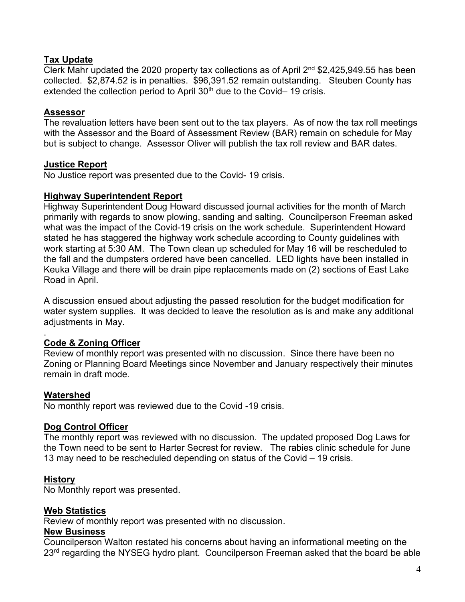## **Tax Update**

Clerk Mahr updated the 2020 property tax collections as of April 2nd \$2,425,949.55 has been collected. \$2,874.52 is in penalties. \$96,391.52 remain outstanding. Steuben County has extended the collection period to April  $30<sup>th</sup>$  due to the Covid– 19 crisis.

# **Assessor**

The revaluation letters have been sent out to the tax players. As of now the tax roll meetings with the Assessor and the Board of Assessment Review (BAR) remain on schedule for May but is subject to change. Assessor Oliver will publish the tax roll review and BAR dates.

## **Justice Report**

No Justice report was presented due to the Covid- 19 crisis.

#### **Highway Superintendent Report**

Highway Superintendent Doug Howard discussed journal activities for the month of March primarily with regards to snow plowing, sanding and salting. Councilperson Freeman asked what was the impact of the Covid-19 crisis on the work schedule. Superintendent Howard stated he has staggered the highway work schedule according to County guidelines with work starting at 5:30 AM. The Town clean up scheduled for May 16 will be rescheduled to the fall and the dumpsters ordered have been cancelled. LED lights have been installed in Keuka Village and there will be drain pipe replacements made on (2) sections of East Lake Road in April.

A discussion ensued about adjusting the passed resolution for the budget modification for water system supplies. It was decided to leave the resolution as is and make any additional adjustments in May.

#### . **Code & Zoning Officer**

Review of monthly report was presented with no discussion. Since there have been no Zoning or Planning Board Meetings since November and January respectively their minutes remain in draft mode.

## **Watershed**

No monthly report was reviewed due to the Covid -19 crisis.

## **Dog Control Officer**

The monthly report was reviewed with no discussion. The updated proposed Dog Laws for the Town need to be sent to Harter Secrest for review. The rabies clinic schedule for June 13 may need to be rescheduled depending on status of the Covid – 19 crisis.

## **History**

No Monthly report was presented.

## **Web Statistics**

Review of monthly report was presented with no discussion.

#### **New Business**

Councilperson Walton restated his concerns about having an informational meeting on the 23<sup>rd</sup> regarding the NYSEG hydro plant. Councilperson Freeman asked that the board be able